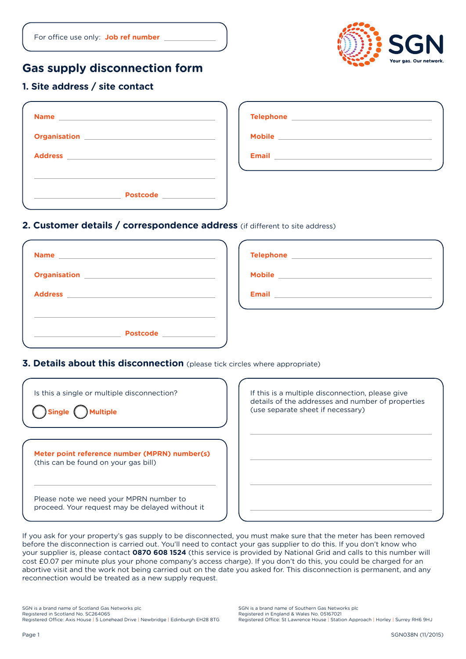# **Gas supply disconnection form**

## **1. Site address / site contact**

| Name ____________________________                                                                             | Telephone _______________________    |
|---------------------------------------------------------------------------------------------------------------|--------------------------------------|
| Organisation New York Street and Street and Street and Street and Street and Street and Street and Street and | Mobile _____________________________ |
| Address <b>Management Community and September 2016</b>                                                        |                                      |
| Postcode _____________                                                                                        |                                      |

#### **2. Customer details / correspondence address** (if different to site address)

| Organisation <u>___________________________________</u> |                                               |
|---------------------------------------------------------|-----------------------------------------------|
|                                                         | Email <b>Experiment and Service Community</b> |
| Postcode <b>Alexander School</b>                        |                                               |

### **3. Details about this disconnection** (please tick circles where appropriate)

| Is this a single or multiple disconnection?<br><b>luitiple</b>                             | If this is a multiple disconnection, please give<br>details of the addresses and number of properties<br>(use separate sheet if necessary) |
|--------------------------------------------------------------------------------------------|--------------------------------------------------------------------------------------------------------------------------------------------|
| Meter point reference number (MPRN) number(s)<br>(this can be found on your gas bill)      |                                                                                                                                            |
| Please note we need your MPRN number to<br>proceed. Your request may be delayed without it |                                                                                                                                            |

If you ask for your property's gas supply to be disconnected, you must make sure that the meter has been removed before the disconnection is carried out. You'll need to contact your gas supplier to do this. If you don't know who your supplier is, please contact **0870 608 1524** (this service is provided by National Grid and calls to this number will cost £0.07 per minute plus your phone company's access charge). If you don't do this, you could be charged for an abortive visit and the work not being carried out on the date you asked for. This disconnection is permanent, and any reconnection would be treated as a new supply request.

SGN is a brand name of Scotland Gas Networks plc Registered in Scotland No. SC264065 Registered Office: Axis House | 5 Lonehead Drive | Newbridge | Edinburgh EH28 8TG